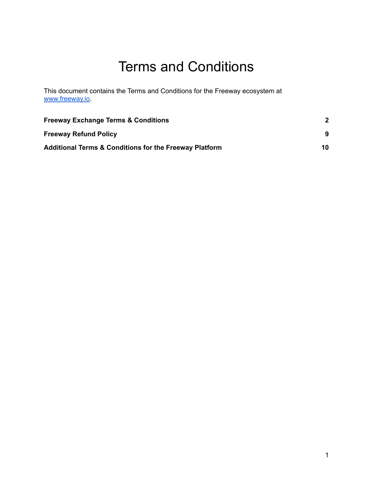# Terms and Conditions

This document contains the Terms and Conditions for the Freeway ecosystem at [www.freeway.io.](http://www.freeway.io)

| <b>Freeway Exchange Terms &amp; Conditions</b>                    | 10 |
|-------------------------------------------------------------------|----|
| <b>Freeway Refund Policy</b>                                      |    |
| <b>Additional Terms &amp; Conditions for the Freeway Platform</b> |    |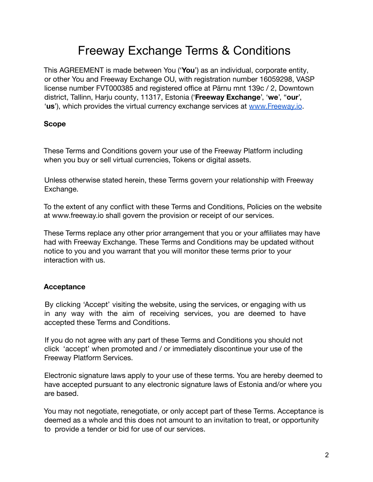## Freeway Exchange Terms & Conditions

<span id="page-1-0"></span>This AGREEMENT is made between You ('**You**') as an individual, corporate entity, or other You and Freeway Exchange OU, with registration number 16059298, VASP license number FVT000385 and registered office at Pärnu mnt 139c / 2, Downtown district, Tallinn, Harju county, 11317, Estonia ('**Freeway Exchange**', '**we**', "**our**', '**us**'), which provides the virtual currency exchange services at [www.Freeway.io](http://www.freeway.io).

## **Scope**

These Terms and Conditions govern your use of the Freeway Platform including when you buy or sell virtual currencies, Tokens or digital assets.

Unless otherwise stated herein, these Terms govern your relationship with Freeway Exchange.

To the extent of any conflict with these Terms and Conditions, Policies on the website at www.freeway.io shall govern the provision or receipt of our services.

These Terms replace any other prior arrangement that you or your affiliates may have had with Freeway Exchange. These Terms and Conditions may be updated without notice to you and you warrant that you will monitor these terms prior to your interaction with us.

## **Acceptance**

By clicking 'Accept' visiting the website, using the services, or engaging with us in any way with the aim of receiving services, you are deemed to have accepted these Terms and Conditions.

If you do not agree with any part of these Terms and Conditions you should not click 'accept' when promoted and / or immediately discontinue your use of the Freeway Platform Services.

Electronic signature laws apply to your use of these terms. You are hereby deemed to have accepted pursuant to any electronic signature laws of Estonia and/or where you are based.

You may not negotiate, renegotiate, or only accept part of these Terms. Acceptance is deemed as a whole and this does not amount to an invitation to treat, or opportunity to provide a tender or bid for use of our services.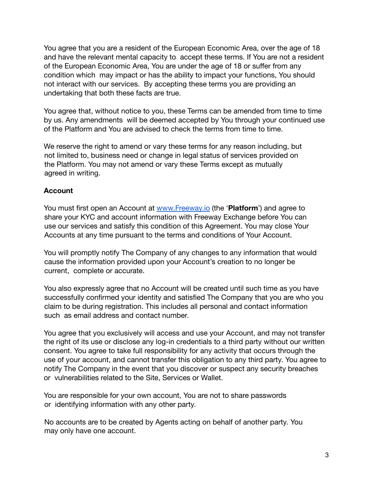You agree that you are a resident of the European Economic Area, over the age of 18 and have the relevant mental capacity to accept these terms. If You are not a resident of the European Economic Area, You are under the age of 18 or suffer from any condition which may impact or has the ability to impact your functions, You should not interact with our services. By accepting these terms you are providing an undertaking that both these facts are true.

You agree that, without notice to you, these Terms can be amended from time to time by us. Any amendments will be deemed accepted by You through your continued use of the Platform and You are advised to check the terms from time to time.

We reserve the right to amend or vary these terms for any reason including, but not limited to, business need or change in legal status of services provided on the Platform. You may not amend or vary these Terms except as mutually agreed in writing.

## **Account**

You must first open an Account at [www.Freeway.io](http://www.freeway.io) (the '**Platform**') and agree to share your KYC and account information with Freeway Exchange before You can use our services and satisfy this condition of this Agreement. You may close Your Accounts at any time pursuant to the terms and conditions of Your Account.

You will promptly notify The Company of any changes to any information that would cause the information provided upon your Account's creation to no longer be current, complete or accurate.

You also expressly agree that no Account will be created until such time as you have successfully confirmed your identity and satisfied The Company that you are who you claim to be during registration. This includes all personal and contact information such as email address and contact number.

You agree that you exclusively will access and use your Account, and may not transfer the right of its use or disclose any log-in credentials to a third party without our written consent. You agree to take full responsibility for any activity that occurs through the use of your account, and cannot transfer this obligation to any third party. You agree to notify The Company in the event that you discover or suspect any security breaches or vulnerabilities related to the Site, Services or Wallet.

You are responsible for your own account, You are not to share passwords or identifying information with any other party.

No accounts are to be created by Agents acting on behalf of another party. You may only have one account.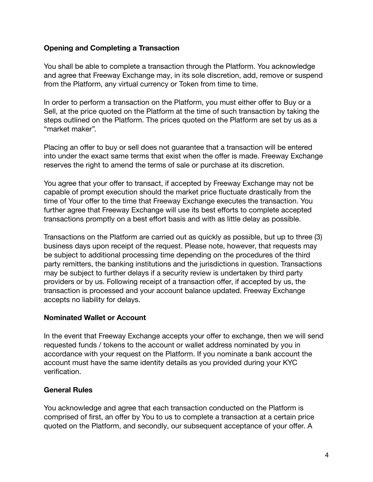### **Opening and Completing a Transaction**

You shall be able to complete a transaction through the Platform. You acknowledge and agree that Freeway Exchange may, in its sole discretion, add, remove or suspend from the Platform, any virtual currency or Token from time to time.

In order to perform a transaction on the Platform, you must either offer to Buy or a Sell, at the price quoted on the Platform at the time of such transaction by taking the steps outlined on the Platform. The prices quoted on the Platform are set by us as a "market maker".

Placing an offer to buy or sell does not guarantee that a transaction will be entered into under the exact same terms that exist when the offer is made. Freeway Exchange reserves the right to amend the terms of sale or purchase at its discretion.

You agree that your offer to transact, if accepted by Freeway Exchange may not be capable of prompt execution should the market price fluctuate drastically from the time of Your offer to the time that Freeway Exchange executes the transaction. You further agree that Freeway Exchange will use its best efforts to complete accepted transactions promptly on a best effort basis and with as little delay as possible.

Transactions on the Platform are carried out as quickly as possible, but up to three (3) business days upon receipt of the request. Please note, however, that requests may be subject to additional processing time depending on the procedures of the third party remitters, the banking institutions and the jurisdictions in question. Transactions may be subject to further delays if a security review is undertaken by third party providers or by us. Following receipt of a transaction offer, if accepted by us, the transaction is processed and your account balance updated. Freeway Exchange accepts no liability for delays.

#### **Nominated Wallet or Account**

In the event that Freeway Exchange accepts your offer to exchange, then we will send requested funds / tokens to the account or wallet address nominated by you in accordance with your request on the Platform. If you nominate a bank account the account must have the same identity details as you provided during your KYC verification.

## **General Rules**

You acknowledge and agree that each transaction conducted on the Platform is comprised of first, an offer by You to us to complete a transaction at a certain price quoted on the Platform, and secondly, our subsequent acceptance of your offer. A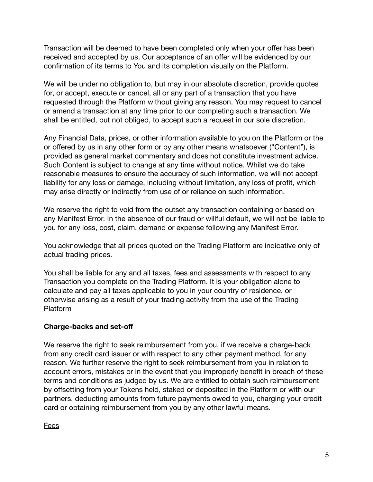Transaction will be deemed to have been completed only when your offer has been received and accepted by us. Our acceptance of an offer will be evidenced by our confirmation of its terms to You and its completion visually on the Platform.

We will be under no obligation to, but may in our absolute discretion, provide quotes for, or accept, execute or cancel, all or any part of a transaction that you have requested through the Platform without giving any reason. You may request to cancel or amend a transaction at any time prior to our completing such a transaction. We shall be entitled, but not obliged, to accept such a request in our sole discretion.

Any Financial Data, prices, or other information available to you on the Platform or the or offered by us in any other form or by any other means whatsoever ("Content"), is provided as general market commentary and does not constitute investment advice. Such Content is subject to change at any time without notice. Whilst we do take reasonable measures to ensure the accuracy of such information, we will not accept liability for any loss or damage, including without limitation, any loss of profit, which may arise directly or indirectly from use of or reliance on such information.

We reserve the right to void from the outset any transaction containing or based on any Manifest Error. In the absence of our fraud or willful default, we will not be liable to you for any loss, cost, claim, demand or expense following any Manifest Error.

You acknowledge that all prices quoted on the Trading Platform are indicative only of actual trading prices.

You shall be liable for any and all taxes, fees and assessments with respect to any Transaction you complete on the Trading Platform. It is your obligation alone to calculate and pay all taxes applicable to you in your country of residence, or otherwise arising as a result of your trading activity from the use of the Trading Platform

## **Charge-backs and set-off**

We reserve the right to seek reimbursement from you, if we receive a charge-back from any credit card issuer or with respect to any other payment method, for any reason. We further reserve the right to seek reimbursement from you in relation to account errors, mistakes or in the event that you improperly benefit in breach of these terms and conditions as judged by us. We are entitled to obtain such reimbursement by offsetting from your Tokens held, staked or deposited in the Platform or with our partners, deducting amounts from future payments owed to you, charging your credit card or obtaining reimbursement from you by any other lawful means.

#### Fees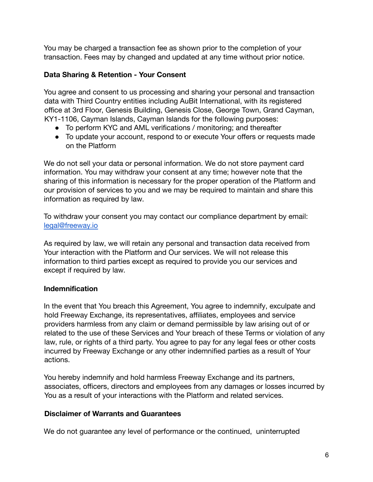You may be charged a transaction fee as shown prior to the completion of your transaction. Fees may by changed and updated at any time without prior notice.

## **Data Sharing & Retention - Your Consent**

You agree and consent to us processing and sharing your personal and transaction data with Third Country entities including AuBit International, with its registered office at 3rd Floor, Genesis Building, Genesis Close, George Town, Grand Cayman, KY1-1106, Cayman Islands, Cayman Islands for the following purposes:

- To perform KYC and AML verifications / monitoring; and thereafter
- To update your account, respond to or execute Your offers or requests made on the Platform

We do not sell your data or personal information. We do not store payment card information. You may withdraw your consent at any time; however note that the sharing of this information is necessary for the proper operation of the Platform and our provision of services to you and we may be required to maintain and share this information as required by law.

To withdraw your consent you may contact our compliance department by email: [legal@freeway.io](mailto:legal@freeway.io)

As required by law, we will retain any personal and transaction data received from Your interaction with the Platform and Our services. We will not release this information to third parties except as required to provide you our services and except if required by law.

## **Indemnification**

In the event that You breach this Agreement, You agree to indemnify, exculpate and hold Freeway Exchange, its representatives, affiliates, employees and service providers harmless from any claim or demand permissible by law arising out of or related to the use of these Services and Your breach of these Terms or violation of any law, rule, or rights of a third party. You agree to pay for any legal fees or other costs incurred by Freeway Exchange or any other indemnified parties as a result of Your actions.

You hereby indemnify and hold harmless Freeway Exchange and its partners, associates, officers, directors and employees from any damages or losses incurred by You as a result of your interactions with the Platform and related services.

## **Disclaimer of Warrants and Guarantees**

We do not guarantee any level of performance or the continued, uninterrupted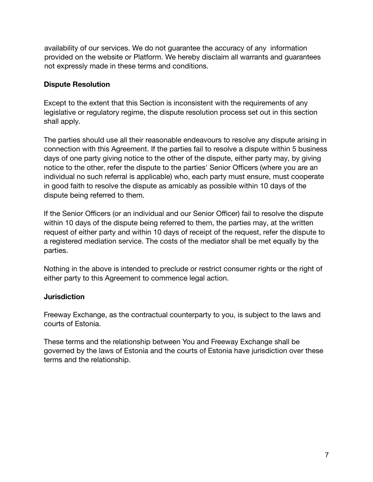availability of our services. We do not guarantee the accuracy of any information provided on the website or Platform. We hereby disclaim all warrants and guarantees not expressly made in these terms and conditions.

## **Dispute Resolution**

Except to the extent that this Section is inconsistent with the requirements of any legislative or regulatory regime, the dispute resolution process set out in this section shall apply.

The parties should use all their reasonable endeavours to resolve any dispute arising in connection with this Agreement. If the parties fail to resolve a dispute within 5 business days of one party giving notice to the other of the dispute, either party may, by giving notice to the other, refer the dispute to the parties' Senior Officers (where you are an individual no such referral is applicable) who, each party must ensure, must cooperate in good faith to resolve the dispute as amicably as possible within 10 days of the dispute being referred to them.

If the Senior Officers (or an individual and our Senior Officer) fail to resolve the dispute within 10 days of the dispute being referred to them, the parties may, at the written request of either party and within 10 days of receipt of the request, refer the dispute to a registered mediation service. The costs of the mediator shall be met equally by the parties.

Nothing in the above is intended to preclude or restrict consumer rights or the right of either party to this Agreement to commence legal action.

## **Jurisdiction**

Freeway Exchange, as the contractual counterparty to you, is subject to the laws and courts of Estonia.

These terms and the relationship between You and Freeway Exchange shall be governed by the laws of Estonia and the courts of Estonia have jurisdiction over these terms and the relationship.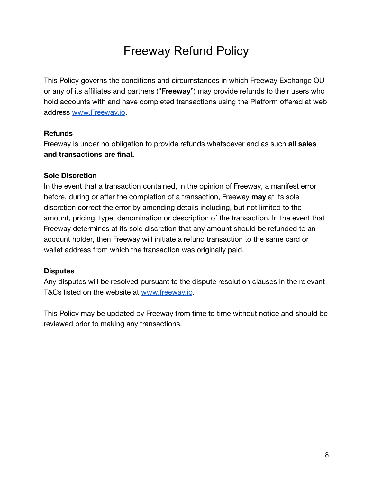## Freeway Refund Policy

<span id="page-7-0"></span>This Policy governs the conditions and circumstances in which Freeway Exchange OU or any of its affiliates and partners ("**Freeway**") may provide refunds to their users who hold accounts with and have completed transactions using the Platform offered at web address [www.Freeway.io.](http://www.freeway.io)

#### **Refunds**

Freeway is under no obligation to provide refunds whatsoever and as such **all sales and transactions are final.**

#### **Sole Discretion**

In the event that a transaction contained, in the opinion of Freeway, a manifest error before, during or after the completion of a transaction, Freeway **may** at its sole discretion correct the error by amending details including, but not limited to the amount, pricing, type, denomination or description of the transaction. In the event that Freeway determines at its sole discretion that any amount should be refunded to an account holder, then Freeway will initiate a refund transaction to the same card or wallet address from which the transaction was originally paid.

#### **Disputes**

Any disputes will be resolved pursuant to the dispute resolution clauses in the relevant T&Cs listed on the website at [www.freeway.io](http://www.freeway.io).

This Policy may be updated by Freeway from time to time without notice and should be reviewed prior to making any transactions.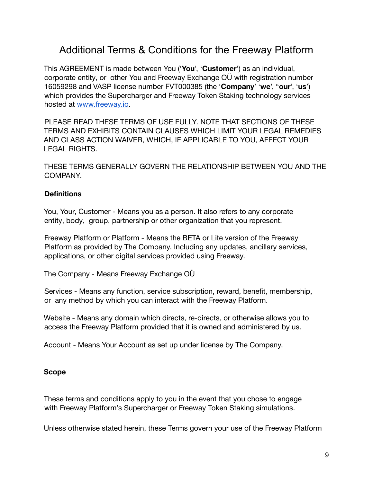## <span id="page-8-0"></span>Additional Terms & Conditions for the Freeway Platform

This AGREEMENT is made between You ('**You**', '**Customer**') as an individual, corporate entity, or other You and Freeway Exchange OÜ with registration number 16059298 and VASP license number FVT000385 (the '**Company**' '**we**', "**our**', '**us**') which provides the Supercharger and Freeway Token Staking technology services hosted at [www.freeway.io](http://www.freeway.io).

PLEASE READ THESE TERMS OF USE FULLY. NOTE THAT SECTIONS OF THESE TERMS AND EXHIBITS CONTAIN CLAUSES WHICH LIMIT YOUR LEGAL REMEDIES AND CLASS ACTION WAIVER, WHICH, IF APPLICABLE TO YOU, AFFECT YOUR LEGAL RIGHTS.

THESE TERMS GENERALLY GOVERN THE RELATIONSHIP BETWEEN YOU AND THE COMPANY.

## **Definitions**

You, Your, Customer - Means you as a person. It also refers to any corporate entity, body, group, partnership or other organization that you represent.

Freeway Platform or Platform - Means the BETA or Lite version of the Freeway Platform as provided by The Company. Including any updates, ancillary services, applications, or other digital services provided using Freeway.

The Company - Means Freeway Exchange OÜ

Services - Means any function, service subscription, reward, benefit, membership, or any method by which you can interact with the Freeway Platform.

Website - Means any domain which directs, re-directs, or otherwise allows you to access the Freeway Platform provided that it is owned and administered by us.

Account - Means Your Account as set up under license by The Company.

## **Scope**

These terms and conditions apply to you in the event that you chose to engage with Freeway Platform's Supercharger or Freeway Token Staking simulations.

Unless otherwise stated herein, these Terms govern your use of the Freeway Platform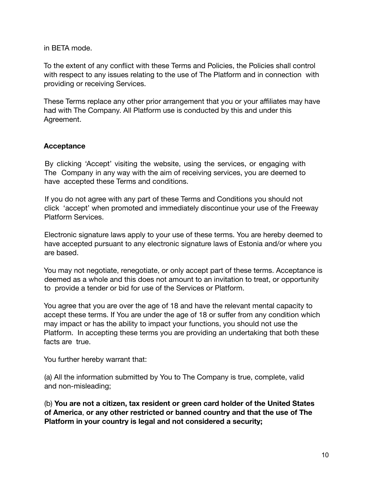in BETA mode.

To the extent of any conflict with these Terms and Policies, the Policies shall control with respect to any issues relating to the use of The Platform and in connection with providing or receiving Services.

These Terms replace any other prior arrangement that you or your affiliates may have had with The Company. All Platform use is conducted by this and under this Agreement.

#### **Acceptance**

By clicking 'Accept' visiting the website, using the services, or engaging with The Company in any way with the aim of receiving services, you are deemed to have accepted these Terms and conditions.

If you do not agree with any part of these Terms and Conditions you should not click 'accept' when promoted and immediately discontinue your use of the Freeway Platform Services.

Electronic signature laws apply to your use of these terms. You are hereby deemed to have accepted pursuant to any electronic signature laws of Estonia and/or where you are based.

You may not negotiate, renegotiate, or only accept part of these terms. Acceptance is deemed as a whole and this does not amount to an invitation to treat, or opportunity to provide a tender or bid for use of the Services or Platform.

You agree that you are over the age of 18 and have the relevant mental capacity to accept these terms. If You are under the age of 18 or suffer from any condition which may impact or has the ability to impact your functions, you should not use the Platform. In accepting these terms you are providing an undertaking that both these facts are true.

You further hereby warrant that:

(a) All the information submitted by You to The Company is true, complete, valid and non-misleading;

(b) **You are not a citizen, tax resident or green card holder of the United States of America**, **or any other restricted or banned country and that the use of The Platform in your country is legal and not considered a security;**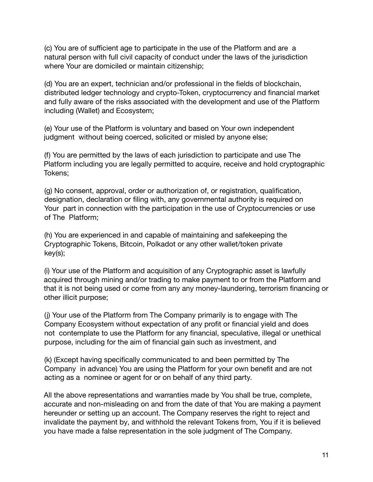(c) You are of sufficient age to participate in the use of the Platform and are a natural person with full civil capacity of conduct under the laws of the jurisdiction where Your are domiciled or maintain citizenship;

(d) You are an expert, technician and/or professional in the fields of blockchain, distributed ledger technology and crypto-Token, cryptocurrency and financial market and fully aware of the risks associated with the development and use of the Platform including (Wallet) and Ecosystem;

(e) Your use of the Platform is voluntary and based on Your own independent judgment without being coerced, solicited or misled by anyone else;

(f) You are permitted by the laws of each jurisdiction to participate and use The Platform including you are legally permitted to acquire, receive and hold cryptographic Tokens;

(g) No consent, approval, order or authorization of, or registration, qualification, designation, declaration or filing with, any governmental authority is required on Your part in connection with the participation in the use of Cryptocurrencies or use of The Platform;

(h) You are experienced in and capable of maintaining and safekeeping the Cryptographic Tokens, Bitcoin, Polkadot or any other wallet/token private key(s);

(i) Your use of the Platform and acquisition of any Cryptographic asset is lawfully acquired through mining and/or trading to make payment to or from the Platform and that it is not being used or come from any any money-laundering, terrorism financing or other illicit purpose;

(j) Your use of the Platform from The Company primarily is to engage with The Company Ecosystem without expectation of any profit or financial yield and does not contemplate to use the Platform for any financial, speculative, illegal or unethical purpose, including for the aim of financial gain such as investment, and

(k) (Except having specifically communicated to and been permitted by The Company in advance) You are using the Platform for your own benefit and are not acting as a nominee or agent for or on behalf of any third party.

All the above representations and warranties made by You shall be true, complete, accurate and non-misleading on and from the date of that You are making a payment hereunder or setting up an account. The Company reserves the right to reject and invalidate the payment by, and withhold the relevant Tokens from, You if it is believed you have made a false representation in the sole judgment of The Company.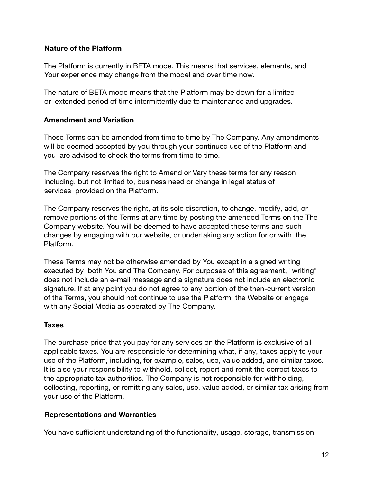### **Nature of the Platform**

The Platform is currently in BETA mode. This means that services, elements, and Your experience may change from the model and over time now.

The nature of BETA mode means that the Platform may be down for a limited or extended period of time intermittently due to maintenance and upgrades.

### **Amendment and Variation**

These Terms can be amended from time to time by The Company. Any amendments will be deemed accepted by you through your continued use of the Platform and you are advised to check the terms from time to time.

The Company reserves the right to Amend or Vary these terms for any reason including, but not limited to, business need or change in legal status of services provided on the Platform.

The Company reserves the right, at its sole discretion, to change, modify, add, or remove portions of the Terms at any time by posting the amended Terms on the The Company website. You will be deemed to have accepted these terms and such changes by engaging with our website, or undertaking any action for or with the Platform.

These Terms may not be otherwise amended by You except in a signed writing executed by both You and The Company. For purposes of this agreement, "writing" does not include an e-mail message and a signature does not include an electronic signature. If at any point you do not agree to any portion of the then-current version of the Terms, you should not continue to use the Platform, the Website or engage with any Social Media as operated by The Company.

#### **Taxes**

The purchase price that you pay for any services on the Platform is exclusive of all applicable taxes. You are responsible for determining what, if any, taxes apply to your use of the Platform, including, for example, sales, use, value added, and similar taxes. It is also your responsibility to withhold, collect, report and remit the correct taxes to the appropriate tax authorities. The Company is not responsible for withholding, collecting, reporting, or remitting any sales, use, value added, or similar tax arising from your use of the Platform.

#### **Representations and Warranties**

You have sufficient understanding of the functionality, usage, storage, transmission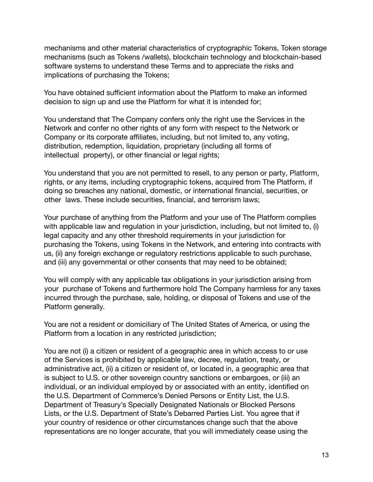mechanisms and other material characteristics of cryptographic Tokens, Token storage mechanisms (such as Tokens /wallets), blockchain technology and blockchain-based software systems to understand these Terms and to appreciate the risks and implications of purchasing the Tokens;

You have obtained sufficient information about the Platform to make an informed decision to sign up and use the Platform for what it is intended for;

You understand that The Company confers only the right use the Services in the Network and confer no other rights of any form with respect to the Network or Company or its corporate affiliates, including, but not limited to, any voting, distribution, redemption, liquidation, proprietary (including all forms of intellectual property), or other financial or legal rights;

You understand that you are not permitted to resell, to any person or party, Platform, rights, or any items, including cryptographic tokens, acquired from The Platform, if doing so breaches any national, domestic, or international financial, securities, or other laws. These include securities, financial, and terrorism laws;

Your purchase of anything from the Platform and your use of The Platform complies with applicable law and regulation in your jurisdiction, including, but not limited to, (i) legal capacity and any other threshold requirements in your jurisdiction for purchasing the Tokens, using Tokens in the Network, and entering into contracts with us, (ii) any foreign exchange or regulatory restrictions applicable to such purchase, and (iii) any governmental or other consents that may need to be obtained;

You will comply with any applicable tax obligations in your jurisdiction arising from your purchase of Tokens and furthermore hold The Company harmless for any taxes incurred through the purchase, sale, holding, or disposal of Tokens and use of the Platform generally.

You are not a resident or domiciliary of The United States of America, or using the Platform from a location in any restricted jurisdiction;

You are not (i) a citizen or resident of a geographic area in which access to or use of the Services is prohibited by applicable law, decree, regulation, treaty, or administrative act, (ii) a citizen or resident of, or located in, a geographic area that is subject to U.S. or other sovereign country sanctions or embargoes, or (iii) an individual, or an individual employed by or associated with an entity, identified on the U.S. Department of Commerce's Denied Persons or Entity List, the U.S. Department of Treasury's Specially Designated Nationals or Blocked Persons Lists, or the U.S. Department of State's Debarred Parties List. You agree that if your country of residence or other circumstances change such that the above representations are no longer accurate, that you will immediately cease using the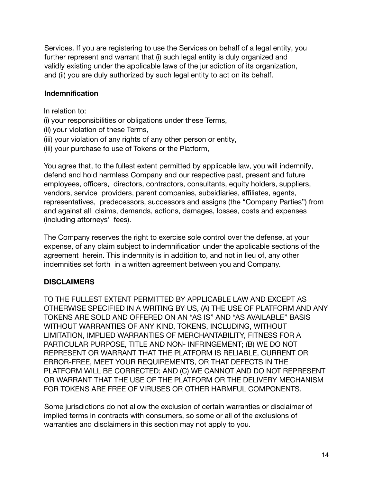Services. If you are registering to use the Services on behalf of a legal entity, you further represent and warrant that (i) such legal entity is duly organized and validly existing under the applicable laws of the jurisdiction of its organization, and (ii) you are duly authorized by such legal entity to act on its behalf.

#### **Indemnification**

- In relation to:
- (i) your responsibilities or obligations under these Terms,
- (ii) your violation of these Terms,
- (iii) your violation of any rights of any other person or entity,
- (iii) your purchase fo use of Tokens or the Platform,

You agree that, to the fullest extent permitted by applicable law, you will indemnify, defend and hold harmless Company and our respective past, present and future employees, officers, directors, contractors, consultants, equity holders, suppliers, vendors, service providers, parent companies, subsidiaries, affiliates, agents, representatives, predecessors, successors and assigns (the "Company Parties") from and against all claims, demands, actions, damages, losses, costs and expenses (including attorneys' fees).

The Company reserves the right to exercise sole control over the defense, at your expense, of any claim subject to indemnification under the applicable sections of the agreement herein. This indemnity is in addition to, and not in lieu of, any other indemnities set forth in a written agreement between you and Company.

## **DISCLAIMERS**

TO THE FULLEST EXTENT PERMITTED BY APPLICABLE LAW AND EXCEPT AS OTHERWISE SPECIFIED IN A WRITING BY US, (A) THE USE OF PLATFORM AND ANY TOKENS ARE SOLD AND OFFERED ON AN "AS IS" AND "AS AVAILABLE" BASIS WITHOUT WARRANTIES OF ANY KIND, TOKENS, INCLUDING, WITHOUT LIMITATION, IMPLIED WARRANTIES OF MERCHANTABILITY, FITNESS FOR A PARTICULAR PURPOSE, TITLE AND NON- INFRINGEMENT; (B) WE DO NOT REPRESENT OR WARRANT THAT THE PLATFORM IS RELIABLE, CURRENT OR ERROR-FREE, MEET YOUR REQUIREMENTS, OR THAT DEFECTS IN THE PLATFORM WILL BE CORRECTED; AND (C) WE CANNOT AND DO NOT REPRESENT OR WARRANT THAT THE USE OF THE PLATFORM OR THE DELIVERY MECHANISM FOR TOKENS ARE FREE OF VIRUSES OR OTHER HARMFUL COMPONENTS.

Some jurisdictions do not allow the exclusion of certain warranties or disclaimer of implied terms in contracts with consumers, so some or all of the exclusions of warranties and disclaimers in this section may not apply to you.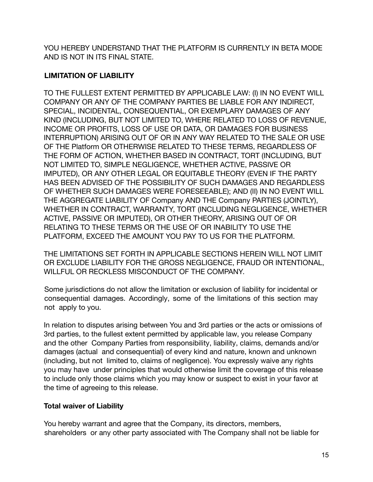YOU HEREBY UNDERSTAND THAT THE PLATFORM IS CURRENTLY IN BETA MODE AND IS NOT IN ITS FINAL STATE.

## **LIMITATION OF LIABILITY**

TO THE FULLEST EXTENT PERMITTED BY APPLICABLE LAW: (I) IN NO EVENT WILL COMPANY OR ANY OF THE COMPANY PARTIES BE LIABLE FOR ANY INDIRECT, SPECIAL, INCIDENTAL, CONSEQUENTIAL, OR EXEMPLARY DAMAGES OF ANY KIND (INCLUDING, BUT NOT LIMITED TO, WHERE RELATED TO LOSS OF REVENUE, INCOME OR PROFITS, LOSS OF USE OR DATA, OR DAMAGES FOR BUSINESS INTERRUPTION) ARISING OUT OF OR IN ANY WAY RELATED TO THE SALE OR USE OF THE Platform OR OTHERWISE RELATED TO THESE TERMS, REGARDLESS OF THE FORM OF ACTION, WHETHER BASED IN CONTRACT, TORT (INCLUDING, BUT NOT LIMITED TO, SIMPLE NEGLIGENCE, WHETHER ACTIVE, PASSIVE OR IMPUTED), OR ANY OTHER LEGAL OR EQUITABLE THEORY (EVEN IF THE PARTY HAS BEEN ADVISED OF THE POSSIBILITY OF SUCH DAMAGES AND REGARDLESS OF WHETHER SUCH DAMAGES WERE FORESEEABLE); AND (II) IN NO EVENT WILL THE AGGREGATE LIABILITY OF Company AND THE Company PARTIES (JOINTLY), WHETHER IN CONTRACT, WARRANTY, TORT (INCLUDING NEGLIGENCE, WHETHER ACTIVE, PASSIVE OR IMPUTED), OR OTHER THEORY, ARISING OUT OF OR RELATING TO THESE TERMS OR THE USE OF OR INABILITY TO USE THE PLATFORM, EXCEED THE AMOUNT YOU PAY TO US FOR THE PLATFORM.

THE LIMITATIONS SET FORTH IN APPLICABLE SECTIONS HEREIN WILL NOT LIMIT OR EXCLUDE LIABILITY FOR THE GROSS NEGLIGENCE, FRAUD OR INTENTIONAL, WILLFUL OR RECKLESS MISCONDUCT OF THE COMPANY.

Some jurisdictions do not allow the limitation or exclusion of liability for incidental or consequential damages. Accordingly, some of the limitations of this section may not apply to you.

In relation to disputes arising between You and 3rd parties or the acts or omissions of 3rd parties, to the fullest extent permitted by applicable law, you release Company and the other Company Parties from responsibility, liability, claims, demands and/or damages (actual and consequential) of every kind and nature, known and unknown (including, but not limited to, claims of negligence). You expressly waive any rights you may have under principles that would otherwise limit the coverage of this release to include only those claims which you may know or suspect to exist in your favor at the time of agreeing to this release.

## **Total waiver of Liability**

You hereby warrant and agree that the Company, its directors, members, shareholders or any other party associated with The Company shall not be liable for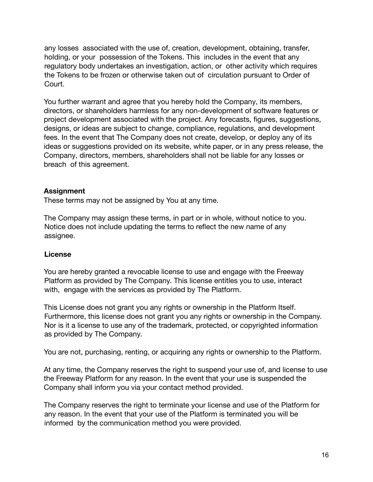any losses associated with the use of, creation, development, obtaining, transfer, holding, or your possession of the Tokens. This includes in the event that any regulatory body undertakes an investigation, action, or other activity which requires the Tokens to be frozen or otherwise taken out of circulation pursuant to Order of Court.

You further warrant and agree that you hereby hold the Company, its members, directors, or shareholders harmless for any non-development of software features or project development associated with the project. Any forecasts, figures, suggestions, designs, or ideas are subject to change, compliance, regulations, and development fees. In the event that The Company does not create, develop, or deploy any of its ideas or suggestions provided on its website, white paper, or in any press release, the Company, directors, members, shareholders shall not be liable for any losses or breach of this agreement.

## **Assignment**

These terms may not be assigned by You at any time.

The Company may assign these terms, in part or in whole, without notice to you. Notice does not include updating the terms to reflect the new name of any assignee.

## **License**

You are hereby granted a revocable license to use and engage with the Freeway Platform as provided by The Company. This license entitles you to use, interact with, engage with the services as provided by The Platform.

This License does not grant you any rights or ownership in the Platform Itself. Furthermore, this license does not grant you any rights or ownership in the Company. Nor is it a license to use any of the trademark, protected, or copyrighted information as provided by The Company.

You are not, purchasing, renting, or acquiring any rights or ownership to the Platform.

At any time, the Company reserves the right to suspend your use of, and license to use the Freeway Platform for any reason. In the event that your use is suspended the Company shall inform you via your contact method provided.

The Company reserves the right to terminate your license and use of the Platform for any reason. In the event that your use of the Platform is terminated you will be informed by the communication method you were provided.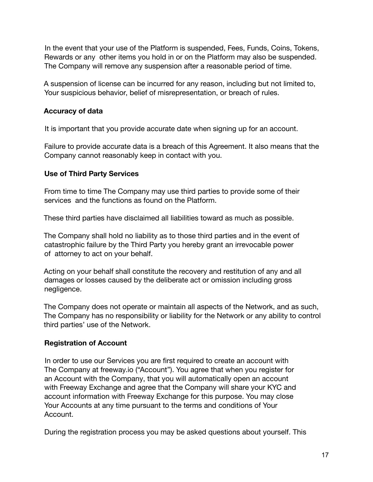In the event that your use of the Platform is suspended, Fees, Funds, Coins, Tokens, Rewards or any other items you hold in or on the Platform may also be suspended. The Company will remove any suspension after a reasonable period of time.

A suspension of license can be incurred for any reason, including but not limited to, Your suspicious behavior, belief of misrepresentation, or breach of rules.

## **Accuracy of data**

It is important that you provide accurate date when signing up for an account.

Failure to provide accurate data is a breach of this Agreement. It also means that the Company cannot reasonably keep in contact with you.

## **Use of Third Party Services**

From time to time The Company may use third parties to provide some of their services and the functions as found on the Platform.

These third parties have disclaimed all liabilities toward as much as possible.

The Company shall hold no liability as to those third parties and in the event of catastrophic failure by the Third Party you hereby grant an irrevocable power of attorney to act on your behalf.

Acting on your behalf shall constitute the recovery and restitution of any and all damages or losses caused by the deliberate act or omission including gross negligence.

The Company does not operate or maintain all aspects of the Network, and as such, The Company has no responsibility or liability for the Network or any ability to control third parties' use of the Network.

## **Registration of Account**

In order to use our Services you are first required to create an account with The Company at freeway.io ("Account"). You agree that when you register for an Account with the Company, that you will automatically open an account with Freeway Exchange and agree that the Company will share your KYC and account information with Freeway Exchange for this purpose. You may close Your Accounts at any time pursuant to the terms and conditions of Your Account.

During the registration process you may be asked questions about yourself. This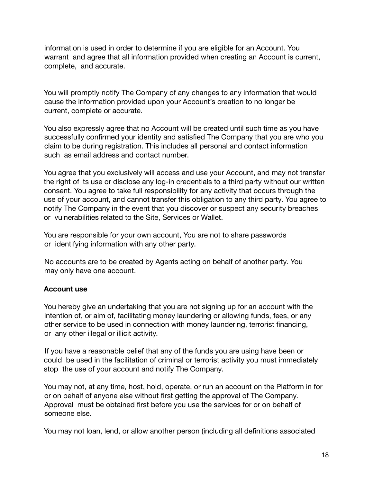information is used in order to determine if you are eligible for an Account. You warrant and agree that all information provided when creating an Account is current, complete, and accurate.

You will promptly notify The Company of any changes to any information that would cause the information provided upon your Account's creation to no longer be current, complete or accurate.

You also expressly agree that no Account will be created until such time as you have successfully confirmed your identity and satisfied The Company that you are who you claim to be during registration. This includes all personal and contact information such as email address and contact number.

You agree that you exclusively will access and use your Account, and may not transfer the right of its use or disclose any log-in credentials to a third party without our written consent. You agree to take full responsibility for any activity that occurs through the use of your account, and cannot transfer this obligation to any third party. You agree to notify The Company in the event that you discover or suspect any security breaches or vulnerabilities related to the Site, Services or Wallet.

You are responsible for your own account, You are not to share passwords or identifying information with any other party.

No accounts are to be created by Agents acting on behalf of another party. You may only have one account.

## **Account use**

You hereby give an undertaking that you are not signing up for an account with the intention of, or aim of, facilitating money laundering or allowing funds, fees, or any other service to be used in connection with money laundering, terrorist financing, or any other illegal or illicit activity.

If you have a reasonable belief that any of the funds you are using have been or could be used in the facilitation of criminal or terrorist activity you must immediately stop the use of your account and notify The Company.

You may not, at any time, host, hold, operate, or run an account on the Platform in for or on behalf of anyone else without first getting the approval of The Company. Approval must be obtained first before you use the services for or on behalf of someone else.

You may not loan, lend, or allow another person (including all definitions associated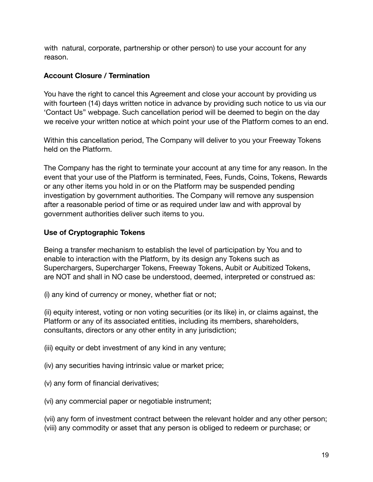with natural, corporate, partnership or other person) to use your account for any reason.

## **Account Closure / Termination**

You have the right to cancel this Agreement and close your account by providing us with fourteen (14) days written notice in advance by providing such notice to us via our 'Contact Us" webpage. Such cancellation period will be deemed to begin on the day we receive your written notice at which point your use of the Platform comes to an end.

Within this cancellation period, The Company will deliver to you your Freeway Tokens held on the Platform.

The Company has the right to terminate your account at any time for any reason. In the event that your use of the Platform is terminated, Fees, Funds, Coins, Tokens, Rewards or any other items you hold in or on the Platform may be suspended pending investigation by government authorities. The Company will remove any suspension after a reasonable period of time or as required under law and with approval by government authorities deliver such items to you.

## **Use of Cryptographic Tokens**

Being a transfer mechanism to establish the level of participation by You and to enable to interaction with the Platform, by its design any Tokens such as Superchargers, Supercharger Tokens, Freeway Tokens, Aubit or Aubitized Tokens, are NOT and shall in NO case be understood, deemed, interpreted or construed as:

(i) any kind of currency or money, whether fiat or not;

(ii) equity interest, voting or non voting securities (or its like) in, or claims against, the Platform or any of its associated entities, including its members, shareholders, consultants, directors or any other entity in any jurisdiction;

(iii) equity or debt investment of any kind in any venture;

- (iv) any securities having intrinsic value or market price;
- (v) any form of financial derivatives;
- (vi) any commercial paper or negotiable instrument;

(vii) any form of investment contract between the relevant holder and any other person; (viii) any commodity or asset that any person is obliged to redeem or purchase; or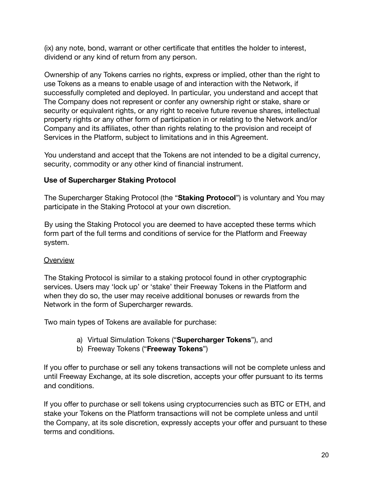(ix) any note, bond, warrant or other certificate that entitles the holder to interest, dividend or any kind of return from any person.

Ownership of any Tokens carries no rights, express or implied, other than the right to use Tokens as a means to enable usage of and interaction with the Network, if successfully completed and deployed. In particular, you understand and accept that The Company does not represent or confer any ownership right or stake, share or security or equivalent rights, or any right to receive future revenue shares, intellectual property rights or any other form of participation in or relating to the Network and/or Company and its affiliates, other than rights relating to the provision and receipt of Services in the Platform, subject to limitations and in this Agreement.

You understand and accept that the Tokens are not intended to be a digital currency, security, commodity or any other kind of financial instrument.

## **Use of Supercharger Staking Protocol**

The Supercharger Staking Protocol (the "**Staking Protocol**") is voluntary and You may participate in the Staking Protocol at your own discretion.

By using the Staking Protocol you are deemed to have accepted these terms which form part of the full terms and conditions of service for the Platform and Freeway system.

## **Overview**

The Staking Protocol is similar to a staking protocol found in other cryptographic services. Users may 'lock up' or 'stake' their Freeway Tokens in the Platform and when they do so, the user may receive additional bonuses or rewards from the Network in the form of Supercharger rewards.

Two main types of Tokens are available for purchase:

- a) Virtual Simulation Tokens ("**Supercharger Tokens**"), and
- b) Freeway Tokens ("**Freeway Tokens**")

If you offer to purchase or sell any tokens transactions will not be complete unless and until Freeway Exchange, at its sole discretion, accepts your offer pursuant to its terms and conditions.

If you offer to purchase or sell tokens using cryptocurrencies such as BTC or ETH, and stake your Tokens on the Platform transactions will not be complete unless and until the Company, at its sole discretion, expressly accepts your offer and pursuant to these terms and conditions.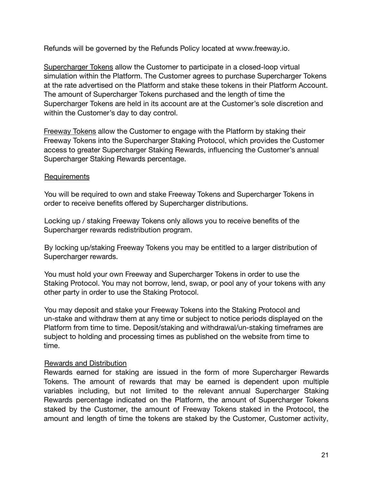Refunds will be governed by the Refunds Policy located at www.freeway.io.

Supercharger Tokens allow the Customer to participate in a closed-loop virtual simulation within the Platform. The Customer agrees to purchase Supercharger Tokens at the rate advertised on the Platform and stake these tokens in their Platform Account. The amount of Supercharger Tokens purchased and the length of time the Supercharger Tokens are held in its account are at the Customer's sole discretion and within the Customer's day to day control.

Freeway Tokens allow the Customer to engage with the Platform by staking their Freeway Tokens into the Supercharger Staking Protocol, which provides the Customer access to greater Supercharger Staking Rewards, influencing the Customer's annual Supercharger Staking Rewards percentage.

#### **Requirements**

You will be required to own and stake Freeway Tokens and Supercharger Tokens in order to receive benefits offered by Supercharger distributions.

Locking up / staking Freeway Tokens only allows you to receive benefits of the Supercharger rewards redistribution program.

By locking up/staking Freeway Tokens you may be entitled to a larger distribution of Supercharger rewards.

You must hold your own Freeway and Supercharger Tokens in order to use the Staking Protocol. You may not borrow, lend, swap, or pool any of your tokens with any other party in order to use the Staking Protocol.

You may deposit and stake your Freeway Tokens into the Staking Protocol and un-stake and withdraw them at any time or subject to notice periods displayed on the Platform from time to time. Deposit/staking and withdrawal/un-staking timeframes are subject to holding and processing times as published on the website from time to time.

#### Rewards and Distribution

Rewards earned for staking are issued in the form of more Supercharger Rewards Tokens. The amount of rewards that may be earned is dependent upon multiple variables including, but not limited to the relevant annual Supercharger Staking Rewards percentage indicated on the Platform, the amount of Supercharger Tokens staked by the Customer, the amount of Freeway Tokens staked in the Protocol, the amount and length of time the tokens are staked by the Customer, Customer activity,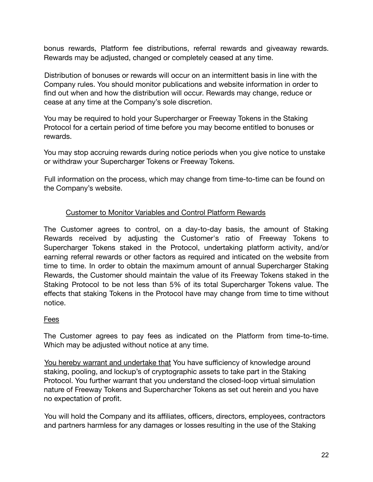bonus rewards, Platform fee distributions, referral rewards and giveaway rewards. Rewards may be adjusted, changed or completely ceased at any time.

Distribution of bonuses or rewards will occur on an intermittent basis in line with the Company rules. You should monitor publications and website information in order to find out when and how the distribution will occur. Rewards may change, reduce or cease at any time at the Company's sole discretion.

You may be required to hold your Supercharger or Freeway Tokens in the Staking Protocol for a certain period of time before you may become entitled to bonuses or rewards.

You may stop accruing rewards during notice periods when you give notice to unstake or withdraw your Supercharger Tokens or Freeway Tokens.

Full information on the process, which may change from time-to-time can be found on the Company's website.

## Customer to Monitor Variables and Control Platform Rewards

The Customer agrees to control, on a day-to-day basis, the amount of Staking Rewards received by adjusting the Customer's ratio of Freeway Tokens to Supercharger Tokens staked in the Protocol, undertaking platform activity, and/or earning referral rewards or other factors as required and inticated on the website from time to time. In order to obtain the maximum amount of annual Supercharger Staking Rewards, the Customer should maintain the value of its Freeway Tokens staked in the Staking Protocol to be not less than 5% of its total Supercharger Tokens value. The effects that staking Tokens in the Protocol have may change from time to time without notice.

#### Fees

The Customer agrees to pay fees as indicated on the Platform from time-to-time. Which may be adjusted without notice at any time.

You hereby warrant and undertake that You have sufficiency of knowledge around staking, pooling, and lockup's of cryptographic assets to take part in the Staking Protocol. You further warrant that you understand the closed-loop virtual simulation nature of Freeway Tokens and Supercharcher Tokens as set out herein and you have no expectation of profit.

You will hold the Company and its affiliates, officers, directors, employees, contractors and partners harmless for any damages or losses resulting in the use of the Staking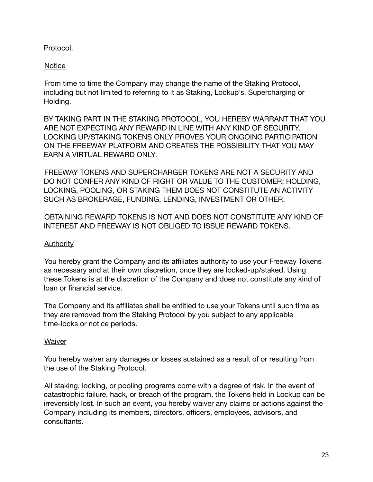Protocol.

## **Notice**

From time to time the Company may change the name of the Staking Protocol, including but not limited to referring to it as Staking, Lockup's, Supercharging or Holding.

BY TAKING PART IN THE STAKING PROTOCOL, YOU HEREBY WARRANT THAT YOU ARE NOT EXPECTING ANY REWARD IN LINE WITH ANY KIND OF SECURITY. LOCKING UP/STAKING TOKENS ONLY PROVES YOUR ONGOING PARTICIPATION ON THE FREEWAY PLATFORM AND CREATES THE POSSIBILITY THAT YOU MAY EARN A VIRTUAL REWARD ONLY.

FREEWAY TOKENS AND SUPERCHARGER TOKENS ARE NOT A SECURITY AND DO NOT CONFER ANY KIND OF RIGHT OR VALUE TO THE CUSTOMER; HOLDING, LOCKING, POOLING, OR STAKING THEM DOES NOT CONSTITUTE AN ACTIVITY SUCH AS BROKERAGE, FUNDING, LENDING, INVESTMENT OR OTHER.

OBTAINING REWARD TOKENS IS NOT AND DOES NOT CONSTITUTE ANY KIND OF INTEREST AND FREEWAY IS NOT OBLIGED TO ISSUE REWARD TOKENS.

## Authority

You hereby grant the Company and its affiliates authority to use your Freeway Tokens as necessary and at their own discretion, once they are locked-up/staked. Using these Tokens is at the discretion of the Company and does not constitute any kind of loan or financial service.

The Company and its affiliates shall be entitled to use your Tokens until such time as they are removed from the Staking Protocol by you subject to any applicable time-locks or notice periods.

## **Waiver**

You hereby waiver any damages or losses sustained as a result of or resulting from the use of the Staking Protocol.

All staking, locking, or pooling programs come with a degree of risk. In the event of catastrophic failure, hack, or breach of the program, the Tokens held in Lockup can be irreversibly lost. In such an event, you hereby waiver any claims or actions against the Company including its members, directors, officers, employees, advisors, and consultants.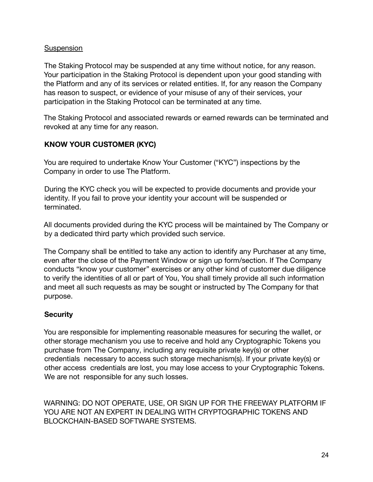#### **Suspension**

The Staking Protocol may be suspended at any time without notice, for any reason. Your participation in the Staking Protocol is dependent upon your good standing with the Platform and any of its services or related entities. If, for any reason the Company has reason to suspect, or evidence of your misuse of any of their services, your participation in the Staking Protocol can be terminated at any time.

The Staking Protocol and associated rewards or earned rewards can be terminated and revoked at any time for any reason.

## **KNOW YOUR CUSTOMER (KYC)**

You are required to undertake Know Your Customer ("KYC") inspections by the Company in order to use The Platform.

During the KYC check you will be expected to provide documents and provide your identity. If you fail to prove your identity your account will be suspended or terminated.

All documents provided during the KYC process will be maintained by The Company or by a dedicated third party which provided such service.

The Company shall be entitled to take any action to identify any Purchaser at any time, even after the close of the Payment Window or sign up form/section. If The Company conducts "know your customer" exercises or any other kind of customer due diligence to verify the identities of all or part of You, You shall timely provide all such information and meet all such requests as may be sought or instructed by The Company for that purpose.

## **Security**

You are responsible for implementing reasonable measures for securing the wallet, or other storage mechanism you use to receive and hold any Cryptographic Tokens you purchase from The Company, including any requisite private key(s) or other credentials necessary to access such storage mechanism(s). If your private key(s) or other access credentials are lost, you may lose access to your Cryptographic Tokens. We are not responsible for any such losses.

WARNING: DO NOT OPERATE, USE, OR SIGN UP FOR THE FREEWAY PLATFORM IF YOU ARE NOT AN EXPERT IN DEALING WITH CRYPTOGRAPHIC TOKENS AND BLOCKCHAIN-BASED SOFTWARE SYSTEMS.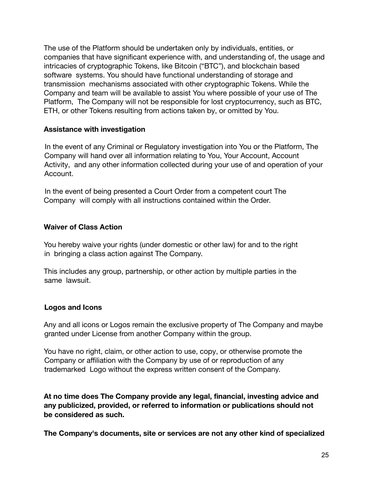The use of the Platform should be undertaken only by individuals, entities, or companies that have significant experience with, and understanding of, the usage and intricacies of cryptographic Tokens, like Bitcoin ("BTC"), and blockchain based software systems. You should have functional understanding of storage and transmission mechanisms associated with other cryptographic Tokens. While the Company and team will be available to assist You where possible of your use of The Platform, The Company will not be responsible for lost cryptocurrency, such as BTC, ETH, or other Tokens resulting from actions taken by, or omitted by You.

#### **Assistance with investigation**

In the event of any Criminal or Regulatory investigation into You or the Platform, The Company will hand over all information relating to You, Your Account, Account Activity, and any other information collected during your use of and operation of your Account.

In the event of being presented a Court Order from a competent court The Company will comply with all instructions contained within the Order.

#### **Waiver of Class Action**

You hereby waive your rights (under domestic or other law) for and to the right in bringing a class action against The Company.

This includes any group, partnership, or other action by multiple parties in the same lawsuit.

## **Logos and Icons**

Any and all icons or Logos remain the exclusive property of The Company and maybe granted under License from another Company within the group.

You have no right, claim, or other action to use, copy, or otherwise promote the Company or affiliation with the Company by use of or reproduction of any trademarked Logo without the express written consent of the Company.

**At no time does The Company provide any legal, financial, investing advice and any publicized, provided, or referred to information or publications should not be considered as such.**

**The Company's documents, site or services are not any other kind of specialized**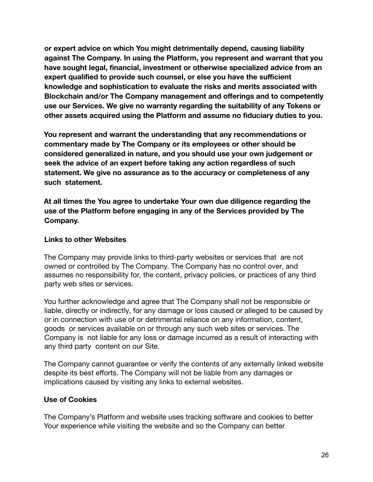**or expert advice on which You might detrimentally depend, causing liability against The Company. In using the Platform, you represent and warrant that you have sought legal, financial, investment or otherwise specialized advice from an expert qualified to provide such counsel, or else you have the sufficient knowledge and sophistication to evaluate the risks and merits associated with Blockchain and/or The Company management and offerings and to competently use our Services. We give no warranty regarding the suitability of any Tokens or other assets acquired using the Platform and assume no fiduciary duties to you.**

**You represent and warrant the understanding that any recommendations or commentary made by The Company or its employees or other should be considered generalized in nature, and you should use your own judgement or seek the advice of an expert before taking any action regardless of such statement. We give no assurance as to the accuracy or completeness of any such statement.**

**At all times the You agree to undertake Your own due diligence regarding the use of the Platform before engaging in any of the Services provided by The Company.**

### **Links to other Websites**

The Company may provide links to third-party websites or services that are not owned or controlled by The Company. The Company has no control over, and assumes no responsibility for, the content, privacy policies, or practices of any third party web sites or services.

You further acknowledge and agree that The Company shall not be responsible or liable, directly or indirectly, for any damage or loss caused or alleged to be caused by or in connection with use of or detrimental reliance on any information, content, goods or services available on or through any such web sites or services. The Company is not liable for any loss or damage incurred as a result of interacting with any third party content on our Site.

The Company cannot guarantee or verify the contents of any externally linked website despite its best efforts. The Company will not be liable from any damages or implications caused by visiting any links to external websites.

## **Use of Cookies**

The Company's Platform and website uses tracking software and cookies to better Your experience while visiting the website and so the Company can better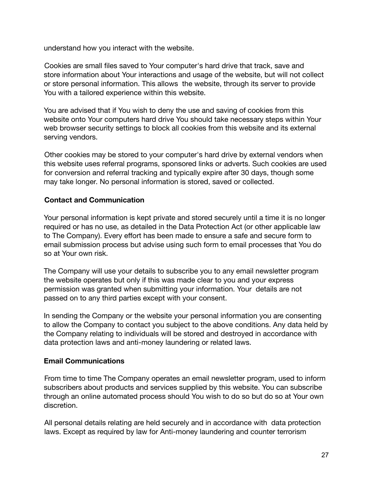understand how you interact with the website.

Cookies are small files saved to Your computer's hard drive that track, save and store information about Your interactions and usage of the website, but will not collect or store personal information. This allows the website, through its server to provide You with a tailored experience within this website.

You are advised that if You wish to deny the use and saving of cookies from this website onto Your computers hard drive You should take necessary steps within Your web browser security settings to block all cookies from this website and its external serving vendors.

Other cookies may be stored to your computer's hard drive by external vendors when this website uses referral programs, sponsored links or adverts. Such cookies are used for conversion and referral tracking and typically expire after 30 days, though some may take longer. No personal information is stored, saved or collected.

## **Contact and Communication**

Your personal information is kept private and stored securely until a time it is no longer required or has no use, as detailed in the Data Protection Act (or other applicable law to The Company). Every effort has been made to ensure a safe and secure form to email submission process but advise using such form to email processes that You do so at Your own risk.

The Company will use your details to subscribe you to any email newsletter program the website operates but only if this was made clear to you and your express permission was granted when submitting your information. Your details are not passed on to any third parties except with your consent.

In sending the Company or the website your personal information you are consenting to allow the Company to contact you subject to the above conditions. Any data held by the Company relating to individuals will be stored and destroyed in accordance with data protection laws and anti-money laundering or related laws.

#### **Email Communications**

From time to time The Company operates an email newsletter program, used to inform subscribers about products and services supplied by this website. You can subscribe through an online automated process should You wish to do so but do so at Your own discretion.

All personal details relating are held securely and in accordance with data protection laws. Except as required by law for Anti-money laundering and counter terrorism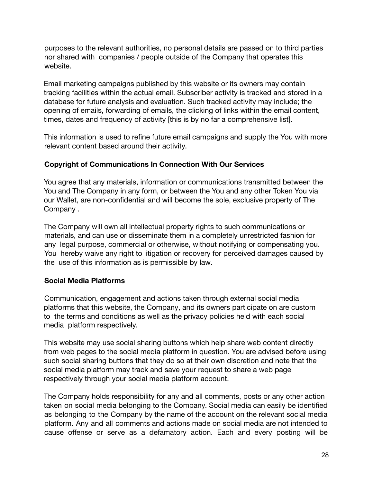purposes to the relevant authorities, no personal details are passed on to third parties nor shared with companies / people outside of the Company that operates this website.

Email marketing campaigns published by this website or its owners may contain tracking facilities within the actual email. Subscriber activity is tracked and stored in a database for future analysis and evaluation. Such tracked activity may include; the opening of emails, forwarding of emails, the clicking of links within the email content, times, dates and frequency of activity [this is by no far a comprehensive list].

This information is used to refine future email campaigns and supply the You with more relevant content based around their activity.

## **Copyright of Communications In Connection With Our Services**

You agree that any materials, information or communications transmitted between the You and The Company in any form, or between the You and any other Token You via our Wallet, are non-confidential and will become the sole, exclusive property of The Company .

The Company will own all intellectual property rights to such communications or materials, and can use or disseminate them in a completely unrestricted fashion for any legal purpose, commercial or otherwise, without notifying or compensating you. You hereby waive any right to litigation or recovery for perceived damages caused by the use of this information as is permissible by law.

## **Social Media Platforms**

Communication, engagement and actions taken through external social media platforms that this website, the Company, and its owners participate on are custom to the terms and conditions as well as the privacy policies held with each social media platform respectively.

This website may use social sharing buttons which help share web content directly from web pages to the social media platform in question. You are advised before using such social sharing buttons that they do so at their own discretion and note that the social media platform may track and save your request to share a web page respectively through your social media platform account.

The Company holds responsibility for any and all comments, posts or any other action taken on social media belonging to the Company. Social media can easily be identified as belonging to the Company by the name of the account on the relevant social media platform. Any and all comments and actions made on social media are not intended to cause offense or serve as a defamatory action. Each and every posting will be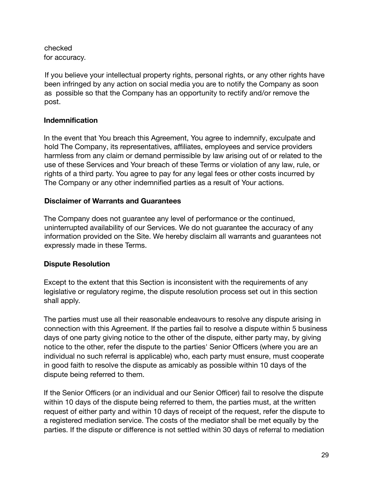checked for accuracy.

If you believe your intellectual property rights, personal rights, or any other rights have been infringed by any action on social media you are to notify the Company as soon as possible so that the Company has an opportunity to rectify and/or remove the post.

## **Indemnification**

In the event that You breach this Agreement, You agree to indemnify, exculpate and hold The Company, its representatives, affiliates, employees and service providers harmless from any claim or demand permissible by law arising out of or related to the use of these Services and Your breach of these Terms or violation of any law, rule, or rights of a third party. You agree to pay for any legal fees or other costs incurred by The Company or any other indemnified parties as a result of Your actions.

## **Disclaimer of Warrants and Guarantees**

The Company does not guarantee any level of performance or the continued, uninterrupted availability of our Services. We do not guarantee the accuracy of any information provided on the Site. We hereby disclaim all warrants and guarantees not expressly made in these Terms.

## **Dispute Resolution**

Except to the extent that this Section is inconsistent with the requirements of any legislative or regulatory regime, the dispute resolution process set out in this section shall apply.

The parties must use all their reasonable endeavours to resolve any dispute arising in connection with this Agreement. If the parties fail to resolve a dispute within 5 business days of one party giving notice to the other of the dispute, either party may, by giving notice to the other, refer the dispute to the parties' Senior Officers (where you are an individual no such referral is applicable) who, each party must ensure, must cooperate in good faith to resolve the dispute as amicably as possible within 10 days of the dispute being referred to them.

If the Senior Officers (or an individual and our Senior Officer) fail to resolve the dispute within 10 days of the dispute being referred to them, the parties must, at the written request of either party and within 10 days of receipt of the request, refer the dispute to a registered mediation service. The costs of the mediator shall be met equally by the parties. If the dispute or difference is not settled within 30 days of referral to mediation